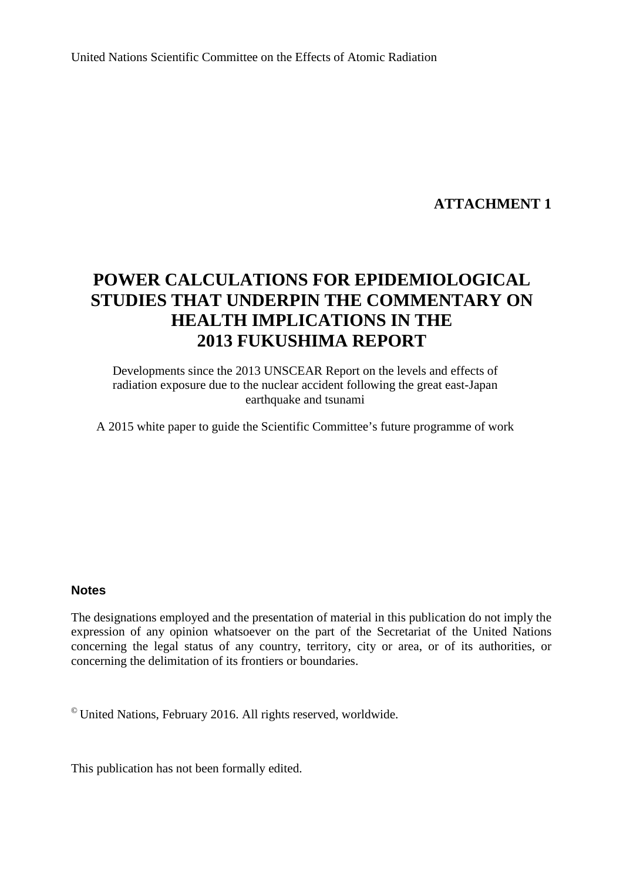United Nations Scientific Committee on the Effects of Atomic Radiation

# **ATTACHMENT 1**

# **POWER CALCULATIONS FOR EPIDEMIOLOGICAL STUDIES THAT UNDERPIN THE COMMENTARY ON HEALTH IMPLICATIONS IN THE 2013 FUKUSHIMA REPORT**

Developments since the 2013 UNSCEAR Report on the levels and effects of radiation exposure due to the nuclear accident following the great east-Japan earthquake and tsunami

A 2015 white paper to guide the Scientific Committee's future programme of work

### **Notes**

The designations employed and the presentation of material in this publication do not imply the expression of any opinion whatsoever on the part of the Secretariat of the United Nations concerning the legal status of any country, territory, city or area, or of its authorities, or concerning the delimitation of its frontiers or boundaries.

 $^{\circ}$  United Nations, February 2016. All rights reserved, worldwide.

This publication has not been formally edited.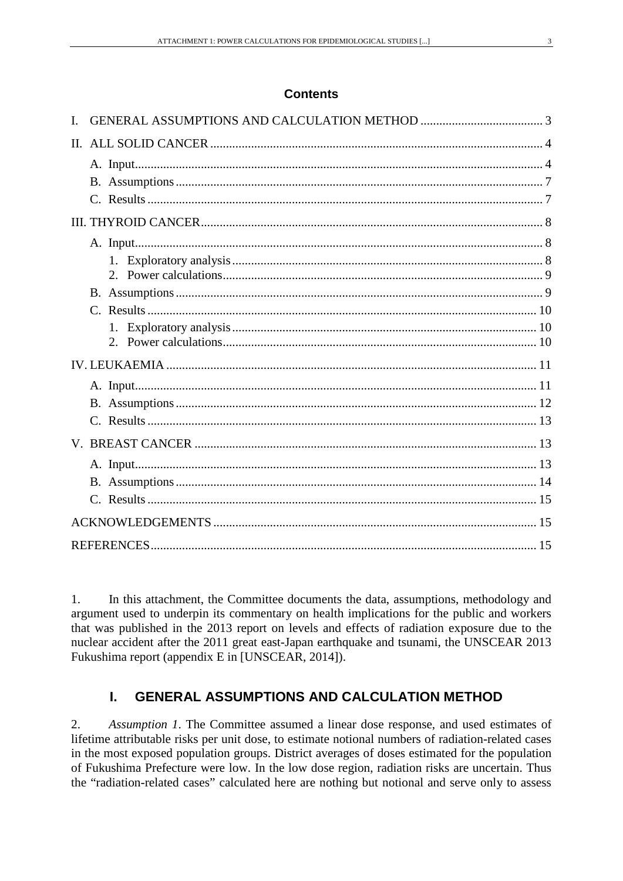### **Contents**

1. In this attachment, the Committee documents the data, assumptions, methodology and argument used to underpin its commentary on health implications for the public and workers that was published in the 2013 report on levels and effects of radiation exposure due to the nuclear accident after the 2011 great east-Japan earthquake and tsunami, the UNSCEAR 2013 Fukushima report (appendix E in [UNSCEAR, 2014]).

# <span id="page-2-0"></span>**I. GENERAL ASSUMPTIONS AND CALCULATION METHOD**

2. *Assumption 1*. The Committee assumed a linear dose response, and used estimates of lifetime attributable risks per unit dose, to estimate notional numbers of radiation-related cases in the most exposed population groups. District averages of doses estimated for the population of Fukushima Prefecture were low. In the low dose region, radiation risks are uncertain. Thus the "radiation-related cases" calculated here are nothing but notional and serve only to assess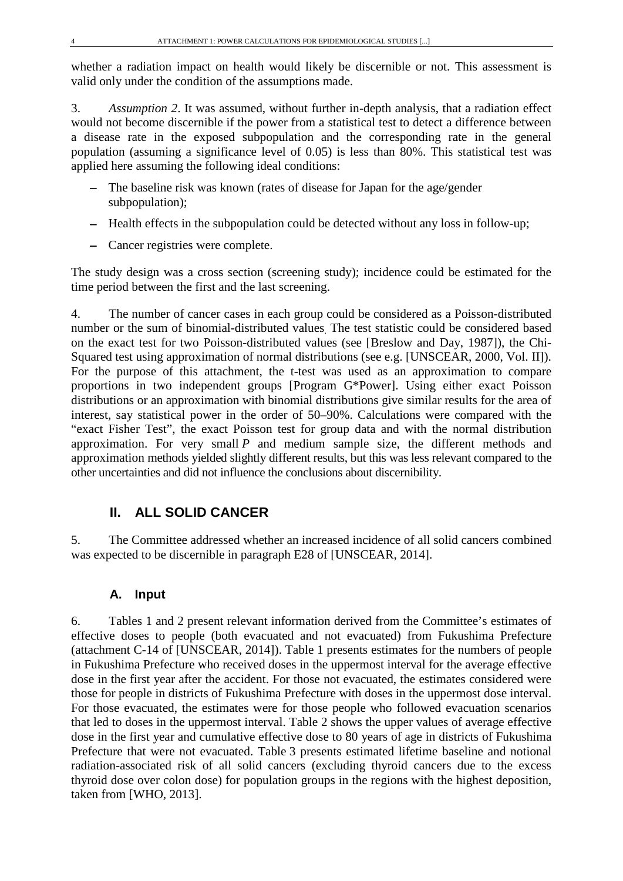whether a radiation impact on health would likely be discernible or not. This assessment is valid only under the condition of the assumptions made.

3. *Assumption 2*. It was assumed, without further in-depth analysis, that a radiation effect would not become discernible if the power from a statistical test to detect a difference between a disease rate in the exposed subpopulation and the corresponding rate in the general population (assuming a significance level of 0.05) is less than 80%. This statistical test was applied here assuming the following ideal conditions:

- − The baseline risk was known (rates of disease for Japan for the age/gender subpopulation);
- − Health effects in the subpopulation could be detected without any loss in follow-up;
- − Cancer registries were complete.

The study design was a cross section (screening study); incidence could be estimated for the time period between the first and the last screening.

4. The number of cancer cases in each group could be considered as a Poisson-distributed number or the sum of binomial-distributed values. The test statistic could be considered based on the exact test for two Poisson-distributed values (see [Breslow and Day, 1987]), the Chi-Squared test using approximation of normal distributions (see e.g. [UNSCEAR, 2000, Vol. II]). For the purpose of this attachment, the t-test was used as an approximation to compare proportions in two independent groups [Program G\*Power]. Using either exact Poisson distributions or an approximation with binomial distributions give similar results for the area of interest, say statistical power in the order of 50–90%. Calculations were compared with the "exact Fisher Test", the exact Poisson test for group data and with the normal distribution approximation. For very small *P* and medium sample size, the different methods and approximation methods yielded slightly different results, but this was less relevant compared to the other uncertainties and did not influence the conclusions about discernibility.

# <span id="page-3-0"></span>**II. ALL SOLID CANCER**

<span id="page-3-1"></span>5. The Committee addressed whether an increased incidence of all solid cancers combined was expected to be discernible in paragraph E28 of [UNSCEAR, 2014].

# **A. Input**

6. Tables 1 and 2 present relevant information derived from the Committee's estimates of effective doses to people (both evacuated and not evacuated) from Fukushima Prefecture (attachment C-14 of [UNSCEAR, 2014]). Table 1 presents estimates for the numbers of people in Fukushima Prefecture who received doses in the uppermost interval for the average effective dose in the first year after the accident. For those not evacuated, the estimates considered were those for people in districts of Fukushima Prefecture with doses in the uppermost dose interval. For those evacuated, the estimates were for those people who followed evacuation scenarios that led to doses in the uppermost interval. Table 2 shows the upper values of average effective dose in the first year and cumulative effective dose to 80 years of age in districts of Fukushima Prefecture that were not evacuated. Table 3 presents estimated lifetime baseline and notional radiation-associated risk of all solid cancers (excluding thyroid cancers due to the excess thyroid dose over colon dose) for population groups in the regions with the highest deposition, taken from [WHO, 2013].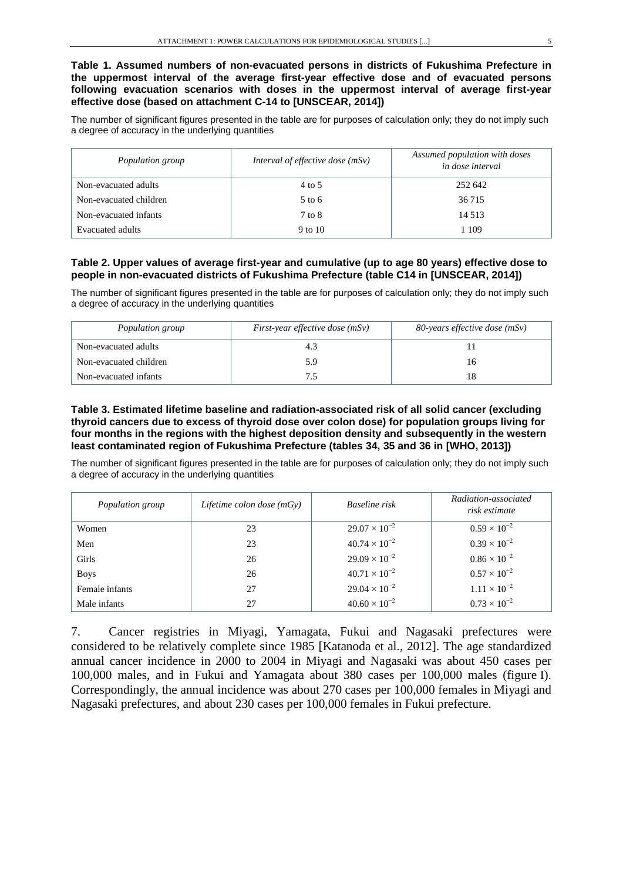#### **Table 1. Assumed numbers of non-evacuated persons in districts of Fukushima Prefecture in the uppermost interval of the average first-year effective dose and of evacuated persons following evacuation scenarios with doses in the uppermost interval of average first-year effective dose (based on attachment C-14 to [UNSCEAR, 2014])**

The number of significant figures presented in the table are for purposes of calculation only; they do not imply such a degree of accuracy in the underlying quantities

| Population group       | Interval of effective dose $(mSv)$ | Assumed population with doses<br>in dose interval |
|------------------------|------------------------------------|---------------------------------------------------|
| Non-evacuated adults   | 4 to 5                             | 252 642                                           |
| Non-evacuated children | $5$ to 6                           | 36 715                                            |
| Non-evacuated infants  | 7 to 8                             | 14 5 13                                           |
| Evacuated adults       | 9 to 10                            | 1 109                                             |

#### **Table 2. Upper values of average first-year and cumulative (up to age 80 years) effective dose to people in non-evacuated districts of Fukushima Prefecture (table C14 in [UNSCEAR, 2014])**

The number of significant figures presented in the table are for purposes of calculation only; they do not imply such a degree of accuracy in the underlying quantities

| Population group       | First-year effective dose $(mSv)$ | 80-years effective dose (mSv) |
|------------------------|-----------------------------------|-------------------------------|
| Non-evacuated adults   | 4.3                               |                               |
| Non-evacuated children | 5.9                               | 16                            |
| Non-evacuated infants  |                                   | 18                            |

#### **Table 3. Estimated lifetime baseline and radiation-associated risk of all solid cancer (excluding thyroid cancers due to excess of thyroid dose over colon dose) for population groups living for four months in the regions with the highest deposition density and subsequently in the western least contaminated region of Fukushima Prefecture (tables 34, 35 and 36 in [WHO, 2013])**

The number of significant figures presented in the table are for purposes of calculation only; they do not imply such a degree of accuracy in the underlying quantities

| Population group | Lifetime colon dose $(mGy)$ | Baseline risk          | Radiation-associated<br>risk estimate |
|------------------|-----------------------------|------------------------|---------------------------------------|
| Women            | 23                          | $29.07 \times 10^{-2}$ | $0.59 \times 10^{-2}$                 |
| Men              | 23                          | $40.74 \times 10^{-2}$ | $0.39 \times 10^{-2}$                 |
| Girls            | 26                          | $29.09 \times 10^{-2}$ | $0.86 \times 10^{-2}$                 |
| <b>Boys</b>      | 26                          | $40.71 \times 10^{-2}$ | $0.57 \times 10^{-2}$                 |
| Female infants   | 27                          | $29.04 \times 10^{-2}$ | $1.11 \times 10^{-2}$                 |
| Male infants     | 27                          | $40.60 \times 10^{-2}$ | $0.73 \times 10^{-2}$                 |

7. Cancer registries in Miyagi, Yamagata, Fukui and Nagasaki prefectures were considered to be relatively complete since 1985 [Katanoda et al., 2012]. The age standardized annual cancer incidence in 2000 to 2004 in Miyagi and Nagasaki was about 450 cases per 100,000 males, and in Fukui and Yamagata about 380 cases per 100,000 males (figure I). Correspondingly, the annual incidence was about 270 cases per 100,000 females in Miyagi and Nagasaki prefectures, and about 230 cases per 100,000 females in Fukui prefecture.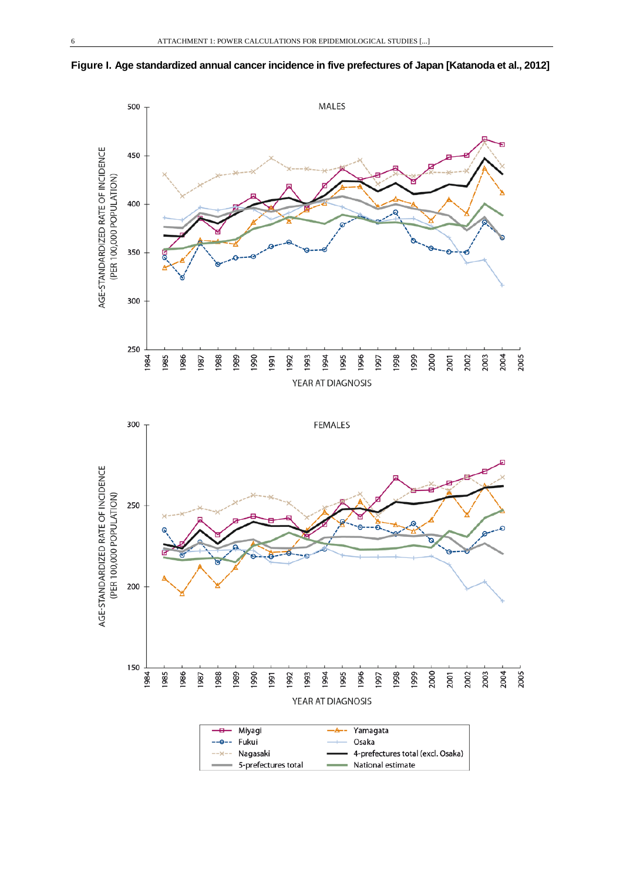



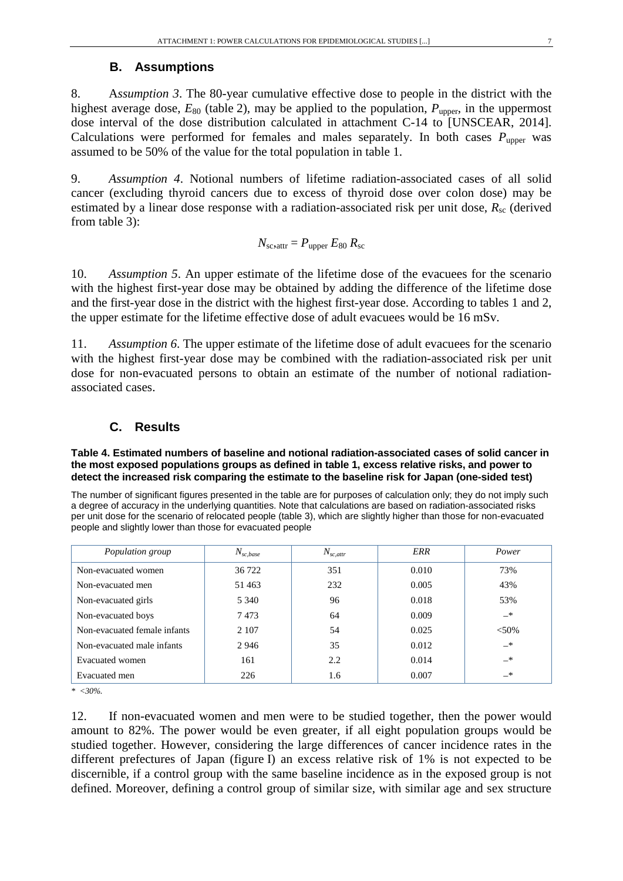### **B. Assumptions**

<span id="page-6-0"></span>8. A*ssumption 3*. The 80-year cumulative effective dose to people in the district with the highest average dose,  $E_{80}$  (table 2), may be applied to the population,  $P_{\text{unner}}$ , in the uppermost dose interval of the dose distribution calculated in attachment C-14 to [UNSCEAR, 2014]. Calculations were performed for females and males separately. In both cases  $P_{\text{upper}}$  was assumed to be 50% of the value for the total population in table 1.

9. *Assumption 4*. Notional numbers of lifetime radiation-associated cases of all solid cancer (excluding thyroid cancers due to excess of thyroid dose over colon dose) may be estimated by a linear dose response with a radiation-associated risk per unit dose,  $R_{\rm sc}$  (derived from table 3):

$$
N_{\rm sc,attr} = P_{\rm upper} E_{80} R_{\rm sc}
$$

10. *Assumption 5*. An upper estimate of the lifetime dose of the evacuees for the scenario with the highest first-year dose may be obtained by adding the difference of the lifetime dose and the first-year dose in the district with the highest first-year dose. According to tables 1 and 2, the upper estimate for the lifetime effective dose of adult evacuees would be 16 mSv.

11. *Assumption 6*. The upper estimate of the lifetime dose of adult evacuees for the scenario with the highest first-year dose may be combined with the radiation-associated risk per unit dose for non-evacuated persons to obtain an estimate of the number of notional radiationassociated cases.

### <span id="page-6-1"></span>**C. Results**

**Table 4. Estimated numbers of baseline and notional radiation-associated cases of solid cancer in the most exposed populations groups as defined in table 1, excess relative risks, and power to detect the increased risk comparing the estimate to the baseline risk for Japan (one-sided test)**

The number of significant figures presented in the table are for purposes of calculation only; they do not imply such a degree of accuracy in the underlying quantities. Note that calculations are based on radiation-associated risks per unit dose for the scenario of relocated people (table 3), which are slightly higher than those for non-evacuated people and slightly lower than those for evacuated people

| Population group             | $N_{sc,base}$ | $N_{sc,attr}$ | ERR   | Power    |
|------------------------------|---------------|---------------|-------|----------|
| Non-evacuated women          | 36 722        | 351           | 0.010 | 73%      |
| Non-evacuated men            | 51463         | 232           | 0.005 | 43%      |
| Non-evacuated girls          | 5 3 4 0       | 96            | 0.018 | 53%      |
| Non-evacuated boys           | 7473          | 64            | 0.009 | $-*$     |
| Non-evacuated female infants | 2 1 0 7       | 54            | 0.025 | $< 50\%$ |
| Non-evacuated male infants   | 2946          | 35            | 0.012 | $-*$     |
| Evacuated women              | 161           | 2.2           | 0.014 | $-$ *    |
| Evacuated men                | 226           | 1.6           | 0.007 | $-*$     |

*\* <30%.*

12. If non-evacuated women and men were to be studied together, then the power would amount to 82%. The power would be even greater, if all eight population groups would be studied together. However, considering the large differences of cancer incidence rates in the different prefectures of Japan (figure I) an excess relative risk of 1% is not expected to be discernible, if a control group with the same baseline incidence as in the exposed group is not defined. Moreover, defining a control group of similar size, with similar age and sex structure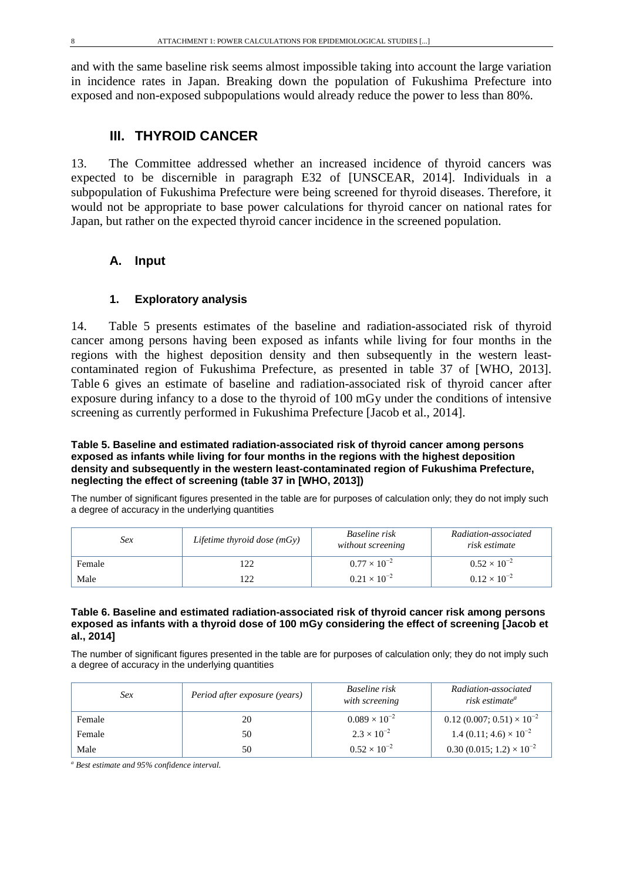<span id="page-7-0"></span>and with the same baseline risk seems almost impossible taking into account the large variation in incidence rates in Japan. Breaking down the population of Fukushima Prefecture into exposed and non-exposed subpopulations would already reduce the power to less than 80%.

# **III. THYROID CANCER**

13. The Committee addressed whether an increased incidence of thyroid cancers was expected to be discernible in paragraph E32 of [UNSCEAR, 2014]. Individuals in a subpopulation of Fukushima Prefecture were being screened for thyroid diseases. Therefore, it would not be appropriate to base power calculations for thyroid cancer on national rates for Japan, but rather on the expected thyroid cancer incidence in the screened population.

### <span id="page-7-1"></span>**A. Input**

### **1. Exploratory analysis**

<span id="page-7-2"></span>14. Table 5 presents estimates of the baseline and radiation-associated risk of thyroid cancer among persons having been exposed as infants while living for four months in the regions with the highest deposition density and then subsequently in the western leastcontaminated region of Fukushima Prefecture, as presented in table 37 of [WHO, 2013]. Table 6 gives an estimate of baseline and radiation-associated risk of thyroid cancer after exposure during infancy to a dose to the thyroid of 100 mGy under the conditions of intensive screening as currently performed in Fukushima Prefecture [Jacob et al., 2014].

#### **Table 5. Baseline and estimated radiation-associated risk of thyroid cancer among persons exposed as infants while living for four months in the regions with the highest deposition density and subsequently in the western least-contaminated region of Fukushima Prefecture, neglecting the effect of screening (table 37 in [WHO, 2013])**

The number of significant figures presented in the table are for purposes of calculation only; they do not imply such a degree of accuracy in the underlying quantities

| Sex    | Lifetime thyroid dose $(mGy)$ | Baseline risk<br>without screening | Radiation-associated<br>risk estimate |
|--------|-------------------------------|------------------------------------|---------------------------------------|
| Female |                               | $0.77 \times 10^{-2}$              | $0.52 \times 10^{-2}$                 |
| Male   |                               | $0.21 \times 10^{-2}$              | $0.12 \times 10^{-2}$                 |

#### **Table 6. Baseline and estimated radiation-associated risk of thyroid cancer risk among persons exposed as infants with a thyroid dose of 100 mGy considering the effect of screening [Jacob et al., 2014]**

The number of significant figures presented in the table are for purposes of calculation only; they do not imply such a degree of accuracy in the underlying quantities

| Sex    | Period after exposure (years) | Baseline risk<br>with screening | Radiation-associated<br>risk estimate <sup>a</sup> |
|--------|-------------------------------|---------------------------------|----------------------------------------------------|
| Female | 20                            | $0.089 \times 10^{-2}$          | $0.12(0.007; 0.51) \times 10^{-2}$                 |
| Female | 50                            | $2.3 \times 10^{-2}$            | 1.4 (0.11; 4.6) $\times 10^{-2}$                   |
| Male   | 50                            | $0.52 \times 10^{-2}$           | $0.30(0.015; 1.2) \times 10^{-2}$                  |

*<sup>a</sup> Best estimate and 95% confidence interval.*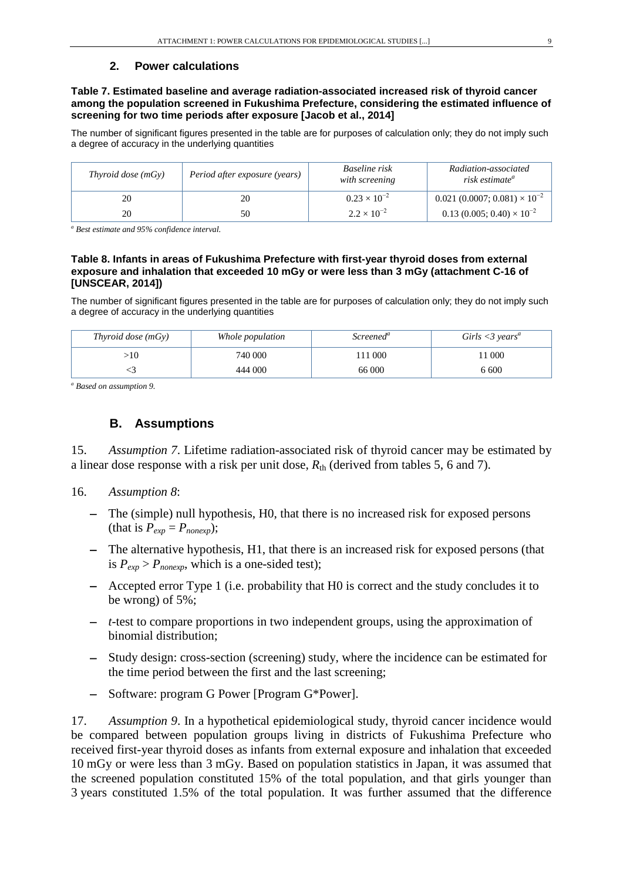### **2. Power calculations**

<span id="page-8-0"></span>**Table 7. Estimated baseline and average radiation-associated increased risk of thyroid cancer among the population screened in Fukushima Prefecture, considering the estimated influence of screening for two time periods after exposure [Jacob et al., 2014]**

The number of significant figures presented in the table are for purposes of calculation only; they do not imply such a degree of accuracy in the underlying quantities

| Thyroid dose $(mGy)$ | Period after exposure (years) | Baseline risk<br>with screening | Radiation-associated<br>risk estimate <sup>a</sup> |
|----------------------|-------------------------------|---------------------------------|----------------------------------------------------|
| 20                   | 20                            | $0.23 \times 10^{-2}$           | $0.021(0.0007; 0.081) \times 10^{-2}$              |
| 20                   | 50                            | $2.2 \times 10^{-2}$            | $0.13(0.005; 0.40) \times 10^{-2}$                 |

*<sup>a</sup> Best estimate and 95% confidence interval.*

#### **Table 8. Infants in areas of Fukushima Prefecture with first-year thyroid doses from external exposure and inhalation that exceeded 10 mGy or were less than 3 mGy (attachment C-16 of [UNSCEAR, 2014])**

The number of significant figures presented in the table are for purposes of calculation only; they do not imply such a degree of accuracy in the underlying quantities

| Thyroid dose $(mGv)$ | Whole population | Screened <sup>a</sup> | Girls $\langle 3 \rangle$ vears <sup>a</sup> |
|----------------------|------------------|-----------------------|----------------------------------------------|
| >10                  | 740 000          | 1000                  | 1 000                                        |
|                      | 444 000          | 66 000                | 6 600                                        |

<span id="page-8-1"></span>*<sup>a</sup> Based on assumption 9.*

# **B. Assumptions**

15. *Assumption 7*. Lifetime radiation-associated risk of thyroid cancer may be estimated by a linear dose response with a risk per unit dose,  $R_{th}$  (derived from tables 5, 6 and 7).

- 16. *Assumption 8*:
	- − The (simple) null hypothesis, H0, that there is no increased risk for exposed persons (that is  $P_{exp} = P_{nonexp}$ );
	- − The alternative hypothesis, H1, that there is an increased risk for exposed persons (that is  $P_{exp} > P_{nonexp}$ , which is a one-sided test);
	- − Accepted error Type 1 (i.e. probability that H0 is correct and the study concludes it to be wrong) of 5%;
	- − *t*-test to compare proportions in two independent groups, using the approximation of binomial distribution;
	- − Study design: cross-section (screening) study, where the incidence can be estimated for the time period between the first and the last screening;
	- − Software: program G Power [Program G\*Power].

17. *Assumption 9*. In a hypothetical epidemiological study, thyroid cancer incidence would be compared between population groups living in districts of Fukushima Prefecture who received first-year thyroid doses as infants from external exposure and inhalation that exceeded 10 mGy or were less than 3 mGy. Based on population statistics in Japan, it was assumed that the screened population constituted 15% of the total population, and that girls younger than 3 years constituted 1.5% of the total population. It was further assumed that the difference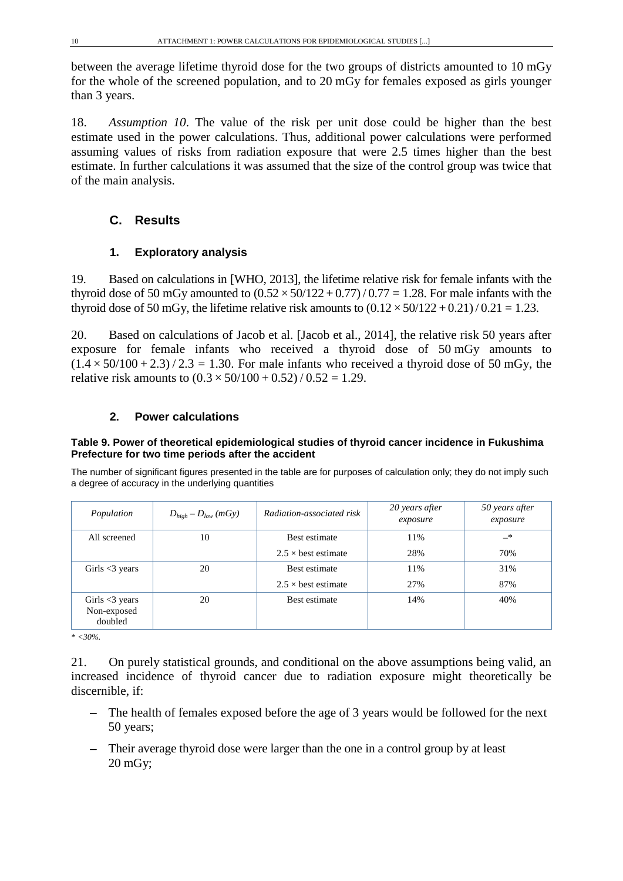between the average lifetime thyroid dose for the two groups of districts amounted to 10 mGy for the whole of the screened population, and to 20 mGy for females exposed as girls younger than 3 years.

18. *Assumption 10*. The value of the risk per unit dose could be higher than the best estimate used in the power calculations. Thus, additional power calculations were performed assuming values of risks from radiation exposure that were 2.5 times higher than the best estimate. In further calculations it was assumed that the size of the control group was twice that of the main analysis.

# <span id="page-9-0"></span>**C. Results**

# **1. Exploratory analysis**

<span id="page-9-1"></span>19. Based on calculations in [WHO, 2013], the lifetime relative risk for female infants with the thyroid dose of 50 mGy amounted to  $(0.52 \times 50/122 + 0.77)/0.77 = 1.28$ . For male infants with the thyroid dose of 50 mGy, the lifetime relative risk amounts to  $(0.12 \times 50/122 + 0.21)/0.21 = 1.23$ .

20. Based on calculations of Jacob et al. [Jacob et al., 2014], the relative risk 50 years after exposure for female infants who received a thyroid dose of 50 mGy amounts to  $(1.4 \times 50/100 + 2.3)$  / 2.3 = 1.30. For male infants who received a thyroid dose of 50 mGy, the relative risk amounts to  $(0.3 \times 50/100 + 0.52) / 0.52 = 1.29$ .

### <span id="page-9-2"></span>**2. Power calculations**

### **Table 9. Power of theoretical epidemiological studies of thyroid cancer incidence in Fukushima Prefecture for two time periods after the accident**

The number of significant figures presented in the table are for purposes of calculation only; they do not imply such a degree of accuracy in the underlying quantities

| Population                                     | $D_{high} - D_{low} (mGy)$ | Radiation-associated risk  | 20 years after<br>exposure | 50 years after<br>exposure |
|------------------------------------------------|----------------------------|----------------------------|----------------------------|----------------------------|
| All screened                                   | 10                         | Best estimate              | 11%                        | $-$ *                      |
|                                                |                            | $2.5 \times$ best estimate | 28%                        | 70%                        |
| Girls $\leq$ 3 years                           | 20                         | Best estimate              | 11%                        | 31%                        |
|                                                |                            | $2.5 \times$ best estimate | 27%                        | 87%                        |
| Girls $\leq$ 3 years<br>Non-exposed<br>doubled | 20                         | Best estimate              | 14%                        | 40%                        |

*\* <30%.*

21. On purely statistical grounds, and conditional on the above assumptions being valid, an increased incidence of thyroid cancer due to radiation exposure might theoretically be discernible, if:

- − The health of females exposed before the age of 3 years would be followed for the next 50 years;
- − Their average thyroid dose were larger than the one in a control group by at least 20 mGy;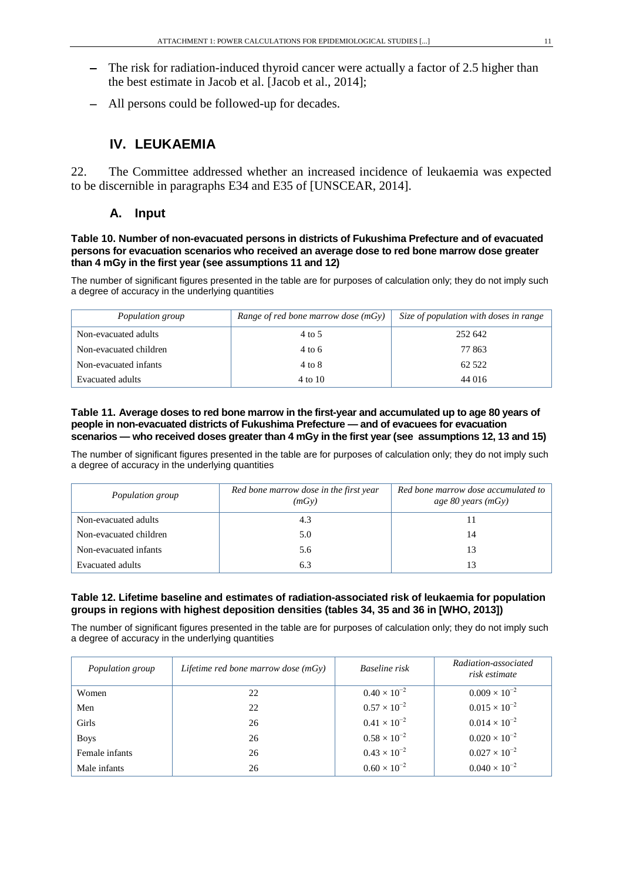- The risk for radiation-induced thyroid cancer were actually a factor of 2.5 higher than the best estimate in Jacob et al. [Jacob et al., 2014];
- <span id="page-10-0"></span>All persons could be followed-up for decades.

# **IV. LEUKAEMIA**

<span id="page-10-1"></span>22. The Committee addressed whether an increased incidence of leukaemia was expected to be discernible in paragraphs E34 and E35 of [UNSCEAR, 2014].

### **A. Input**

#### **Table 10. Number of non-evacuated persons in districts of Fukushima Prefecture and of evacuated persons for evacuation scenarios who received an average dose to red bone marrow dose greater than 4 mGy in the first year (see assumptions 11 and 12)**

The number of significant figures presented in the table are for purposes of calculation only; they do not imply such a degree of accuracy in the underlying quantities

| Population group       | Range of red bone marrow dose $(mGy)$ | Size of population with doses in range |
|------------------------|---------------------------------------|----------------------------------------|
| Non-evacuated adults   | 4 to 5                                | 252 642                                |
| Non-evacuated children | 4 to 6                                | 77 863                                 |
| Non-evacuated infants  | 4 to 8                                | 62.522                                 |
| Evacuated adults       | 4 to 10                               | 44 016                                 |

#### **Table 11. Average doses to red bone marrow in the first-year and accumulated up to age 80 years of people in non-evacuated districts of Fukushima Prefecture — and of evacuees for evacuation scenarios — who received doses greater than 4 mGy in the first year (see assumptions 12, 13 and 15)**

The number of significant figures presented in the table are for purposes of calculation only; they do not imply such a degree of accuracy in the underlying quantities

| Population group        | Red bone marrow dose in the first year<br>(mGy) | Red bone marrow dose accumulated to<br>age 80 years (mGy) |
|-------------------------|-------------------------------------------------|-----------------------------------------------------------|
| Non-evacuated adults    | 4.3                                             |                                                           |
| Non-evacuated children  | 5.0                                             | 14                                                        |
| Non-evacuated infants   | 5.6                                             | 13                                                        |
| <b>Evacuated adults</b> | 6.3                                             | 13                                                        |

#### **Table 12. Lifetime baseline and estimates of radiation-associated risk of leukaemia for population groups in regions with highest deposition densities (tables 34, 35 and 36 in [WHO, 2013])**

The number of significant figures presented in the table are for purposes of calculation only; they do not imply such a degree of accuracy in the underlying quantities

| Population group | Lifetime red bone marrow dose $(mGy)$ | Baseline risk         | Radiation-associated<br>risk estimate |
|------------------|---------------------------------------|-----------------------|---------------------------------------|
| Women            | 22                                    | $0.40 \times 10^{-2}$ | $0.009 \times 10^{-2}$                |
| Men              | 22                                    | $0.57 \times 10^{-2}$ | $0.015 \times 10^{-2}$                |
| Girls            | 26                                    | $0.41 \times 10^{-2}$ | $0.014 \times 10^{-2}$                |
| <b>Boys</b>      | 26                                    | $0.58 \times 10^{-2}$ | $0.020 \times 10^{-2}$                |
| Female infants   | 26                                    | $0.43 \times 10^{-2}$ | $0.027 \times 10^{-2}$                |
| Male infants     | 26                                    | $0.60 \times 10^{-2}$ | $0.040 \times 10^{-2}$                |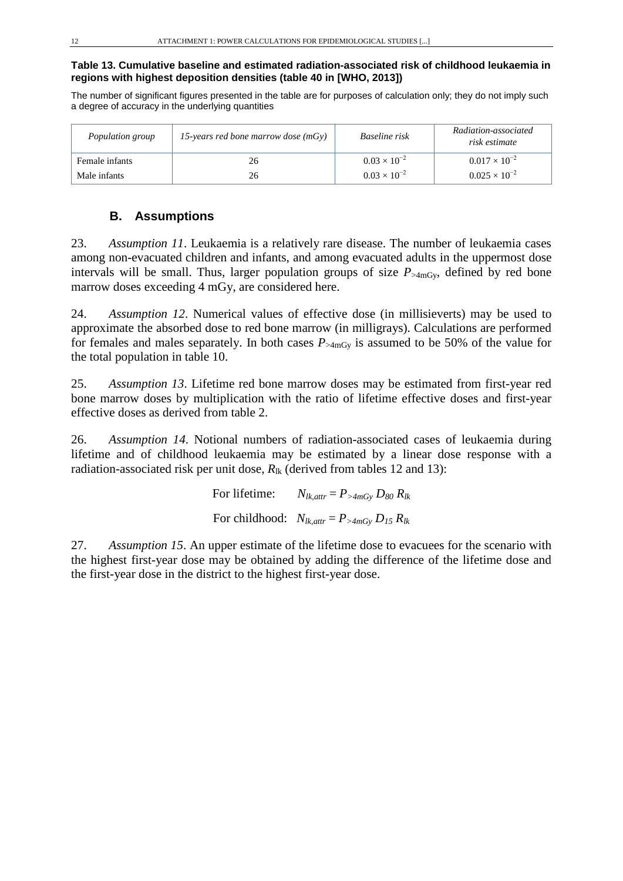### **Table 13. Cumulative baseline and estimated radiation-associated risk of childhood leukaemia in regions with highest deposition densities (table 40 in [WHO, 2013])**

The number of significant figures presented in the table are for purposes of calculation only; they do not imply such a degree of accuracy in the underlying quantities

| Population group | 15-years red bone marrow dose $(mGy)$ | Baseline risk         | Radiation-associated<br>risk estimate |  |
|------------------|---------------------------------------|-----------------------|---------------------------------------|--|
| Female infants   | 26                                    | $0.03 \times 10^{-2}$ | $0.017 \times 10^{-2}$                |  |
| Male infants     | 26                                    | $0.03 \times 10^{-2}$ | $0.025 \times 10^{-2}$                |  |

### <span id="page-11-0"></span>**B. Assumptions**

23. *Assumption 11*. Leukaemia is a relatively rare disease. The number of leukaemia cases among non-evacuated children and infants, and among evacuated adults in the uppermost dose intervals will be small. Thus, larger population groups of size  $P_{\geq 4 \text{mGy}}$ , defined by red bone marrow doses exceeding 4 mGy, are considered here.

24. *Assumption 12*. Numerical values of effective dose (in millisieverts) may be used to approximate the absorbed dose to red bone marrow (in milligrays). Calculations are performed for females and males separately. In both cases  $P_{\geq 4mGy}$  is assumed to be 50% of the value for the total population in table 10.

25. *Assumption 13*. Lifetime red bone marrow doses may be estimated from first-year red bone marrow doses by multiplication with the ratio of lifetime effective doses and first-year effective doses as derived from table 2.

26. *Assumption 14*. Notional numbers of radiation-associated cases of leukaemia during lifetime and of childhood leukaemia may be estimated by a linear dose response with a radiation-associated risk per unit dose,  $R_{\text{lk}}$  (derived from tables 12 and 13):

> For lifetime:  $N_{lk,attr} = P_{>4mGy} D_{80} R_{lk}$ For childhood:  $N_{lk,attr} = P_{>4mGv} D_{15} R_{lk}$

27. *Assumption 15*. An upper estimate of the lifetime dose to evacuees for the scenario with the highest first-year dose may be obtained by adding the difference of the lifetime dose and the first-year dose in the district to the highest first-year dose.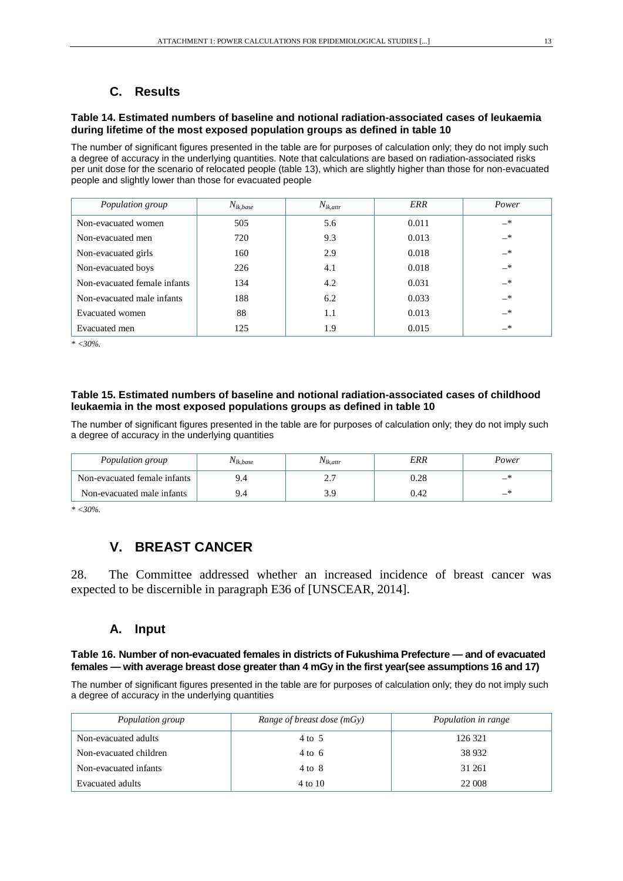# <span id="page-12-0"></span>**C. Results**

#### **Table 14. Estimated numbers of baseline and notional radiation-associated cases of leukaemia during lifetime of the most exposed population groups as defined in table 10**

The number of significant figures presented in the table are for purposes of calculation only; they do not imply such a degree of accuracy in the underlying quantities. Note that calculations are based on radiation-associated risks per unit dose for the scenario of relocated people (table 13), which are slightly higher than those for non-evacuated people and slightly lower than those for evacuated people

| Population group             | $N_{lk,base}$ | $N_{lk,attr}$ | ERR   | Power         |
|------------------------------|---------------|---------------|-------|---------------|
| Non-evacuated women          | 505           | 5.6           | 0.011 | $-*$          |
| Non-evacuated men            | 720           | 9.3           | 0.013 | $-$ *         |
| Non-evacuated girls          | 160           | 2.9           | 0.018 | $-$ *         |
| Non-evacuated boys           | 226           | 4.1           | 0.018 | $-$ *         |
| Non-evacuated female infants | 134           | 4.2           | 0.031 | $\rightarrow$ |
| Non-evacuated male infants   | 188           | 6.2           | 0.033 | $\rightarrow$ |
| <b>Evacuated</b> women       | 88            | 1.1           | 0.013 | $-$ *         |
| Evacuated men                | 125           | 1.9           | 0.015 | $\rightarrow$ |

*\* <30%.*

#### **Table 15. Estimated numbers of baseline and notional radiation-associated cases of childhood leukaemia in the most exposed populations groups as defined in table 10**

The number of significant figures presented in the table are for purposes of calculation only; they do not imply such a degree of accuracy in the underlying quantities

| Population group             | <sup>1</sup> Vlk.base | $N_{lk,attr}$                   | ERR      | Power |
|------------------------------|-----------------------|---------------------------------|----------|-------|
| Non-evacuated female infants | 9.4                   | ⌒ 冖<br>$\overline{\phantom{a}}$ | $0.28\,$ |       |
| Non-evacuated male infants   |                       |                                 | 0.42     | _     |

<span id="page-12-1"></span>*\* <30%.*

# **V. BREAST CANCER**

<span id="page-12-2"></span>28. The Committee addressed whether an increased incidence of breast cancer was expected to be discernible in paragraph E36 of [UNSCEAR, 2014].

### **A. Input**

#### **Table 16. Number of non-evacuated females in districts of Fukushima Prefecture — and of evacuated females — with average breast dose greater than 4 mGy in the first year(see assumptions 16 and 17)**

The number of significant figures presented in the table are for purposes of calculation only; they do not imply such a degree of accuracy in the underlying quantities

| Population group       | Range of breast dose $(mGy)$ | Population in range |
|------------------------|------------------------------|---------------------|
| Non-evacuated adults   | $4 \text{ to } 5$            | 126 321             |
| Non-evacuated children | $4 \text{ to } 6$            | 38 9 32             |
| Non-evacuated infants  | $4 \text{ to } 8$            | 31 261              |
| Evacuated adults       | 4 to 10                      | 22 008              |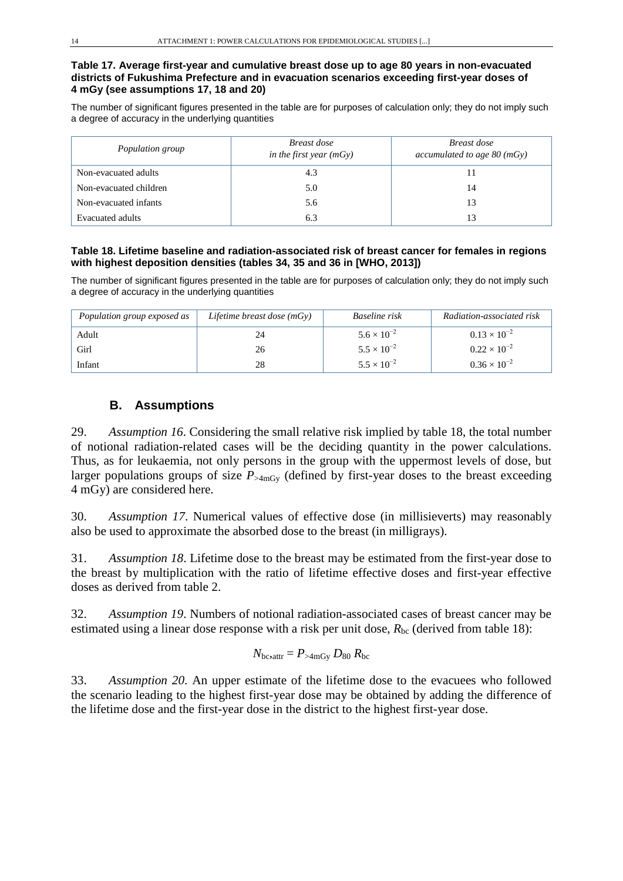#### **Table 17. Average first-year and cumulative breast dose up to age 80 years in non-evacuated districts of Fukushima Prefecture and in evacuation scenarios exceeding first-year doses of 4 mGy (see assumptions 17, 18 and 20)**

The number of significant figures presented in the table are for purposes of calculation only; they do not imply such a degree of accuracy in the underlying quantities

| Population group       | Breast dose<br>in the first year $(mGy)$ | Breast dose<br>accumulated to age $80 \, (\text{mGy})$ |  |
|------------------------|------------------------------------------|--------------------------------------------------------|--|
| Non-evacuated adults   | 4.3                                      | 11                                                     |  |
| Non-evacuated children | 5.0                                      | 14                                                     |  |
| Non-evacuated infants  | 5.6                                      | 13                                                     |  |
| Evacuated adults       | 6.3                                      | 13                                                     |  |

### **Table 18. Lifetime baseline and radiation-associated risk of breast cancer for females in regions with highest deposition densities (tables 34, 35 and 36 in [WHO, 2013])**

The number of significant figures presented in the table are for purposes of calculation only; they do not imply such a degree of accuracy in the underlying quantities

| Population group exposed as | Lifetime breast dose $(mGy)$ | Baseline risk        | Radiation-associated risk |
|-----------------------------|------------------------------|----------------------|---------------------------|
| Adult                       | 24                           | $5.6 \times 10^{-2}$ | $0.13 \times 10^{-2}$     |
| Girl                        | 26                           | $5.5 \times 10^{-2}$ | $0.22 \times 10^{-2}$     |
| Infant                      | 28                           | $5.5 \times 10^{-2}$ | $0.36 \times 10^{-2}$     |

# <span id="page-13-0"></span>**B. Assumptions**

29. *Assumption 16*. Considering the small relative risk implied by table 18, the total number of notional radiation-related cases will be the deciding quantity in the power calculations. Thus, as for leukaemia, not only persons in the group with the uppermost levels of dose, but larger populations groups of size  $P_{\geq 4mGv}$  (defined by first-year doses to the breast exceeding 4 mGy) are considered here.

30. *Assumption 17*. Numerical values of effective dose (in millisieverts) may reasonably also be used to approximate the absorbed dose to the breast (in milligrays).

31. *Assumption 18*. Lifetime dose to the breast may be estimated from the first-year dose to the breast by multiplication with the ratio of lifetime effective doses and first-year effective doses as derived from table 2.

32. *Assumption 19*. Numbers of notional radiation-associated cases of breast cancer may be estimated using a linear dose response with a risk per unit dose,  $R_{bc}$  (derived from table 18):

$$
N_{\text{bc},\text{attr}} = P_{>4\text{mGy}} D_{80} R_{\text{bc}}
$$

33. *Assumption 20*. An upper estimate of the lifetime dose to the evacuees who followed the scenario leading to the highest first-year dose may be obtained by adding the difference of the lifetime dose and the first-year dose in the district to the highest first-year dose.